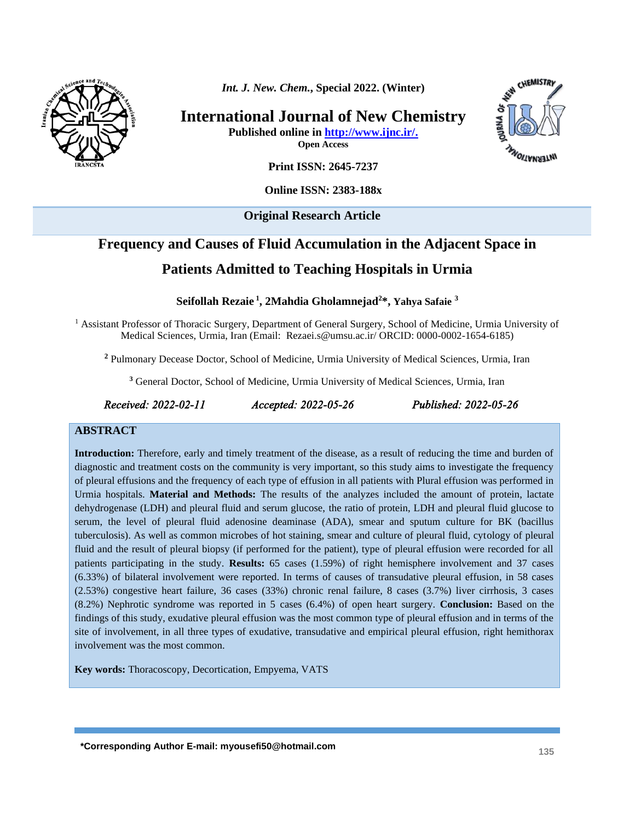

*Int. J. New. Chem.***, Special 2022. (Winter)**

**International Journal of New Chemistry Published online in [http://www.ijnc.ir/.](http://www.ijnc.ir/)**

**Open Access**



**Print ISSN: 2645-7237**

**Online ISSN: 2383-188x** 

**Original Research Article** 

# **Frequency and Causes of Fluid Accumulation in the Adjacent Space in Patients Admitted to Teaching Hospitals in Urmia**

**Seifollah Rezaie <sup>1</sup> , 2Mahdia Gholamnejad<sup>2</sup>\*, Yahya Safaie <sup>3</sup>**

<sup>1</sup> Assistant Professor of Thoracic Surgery, Department of General Surgery, School of Medicine, Urmia University of Medical Sciences, Urmia, Iran (Email: [Rezaei.s@umsu.ac.ir/](mailto:%20Rezaei.s@umsu.ac.ir/) ORCID: 0000-0002-1654-6185)

**<sup>2</sup>** Pulmonary Decease Doctor, School of Medicine, Urmia University of Medical Sciences, Urmia, Iran

**<sup>3</sup>** General Doctor, School of Medicine, Urmia University of Medical Sciences, Urmia, Iran

*Received: 2022-02-11 Accepted: 2022-05-26 Published: 2022-05-26* 

#### **ABSTRACT**

**Introduction:** Therefore, early and timely treatment of the disease, as a result of reducing the time and burden of diagnostic and treatment costs on the community is very important, so this study aims to investigate the frequency of pleural effusions and the frequency of each type of effusion in all patients with Plural effusion was performed in Urmia hospitals. **Material and Methods:** The results of the analyzes included the amount of protein, lactate dehydrogenase (LDH) and pleural fluid and serum glucose, the ratio of protein, LDH and pleural fluid glucose to serum, the level of pleural fluid adenosine deaminase (ADA), smear and sputum culture for BK (bacillus tuberculosis). As well as common microbes of hot staining, smear and culture of pleural fluid, cytology of pleural fluid and the result of pleural biopsy (if performed for the patient), type of pleural effusion were recorded for all patients participating in the study. **Results:** 65 cases (1.59%) of right hemisphere involvement and 37 cases (6.33%) of bilateral involvement were reported. In terms of causes of transudative pleural effusion, in 58 cases (2.53%) congestive heart failure, 36 cases (33%) chronic renal failure, 8 cases (3.7%) liver cirrhosis, 3 cases (8.2%) Nephrotic syndrome was reported in 5 cases (6.4%) of open heart surgery. **Conclusion:** Based on the findings of this study, exudative pleural effusion was the most common type of pleural effusion and in terms of the site of involvement, in all three types of exudative, transudative and empirical pleural effusion, right hemithorax involvement was the most common.

**Key words:** Thoracoscopy, Decortication, Empyema, VATS

**\*Corresponding Author E-mail: myousefi50@hotmail.com <sup>135</sup>**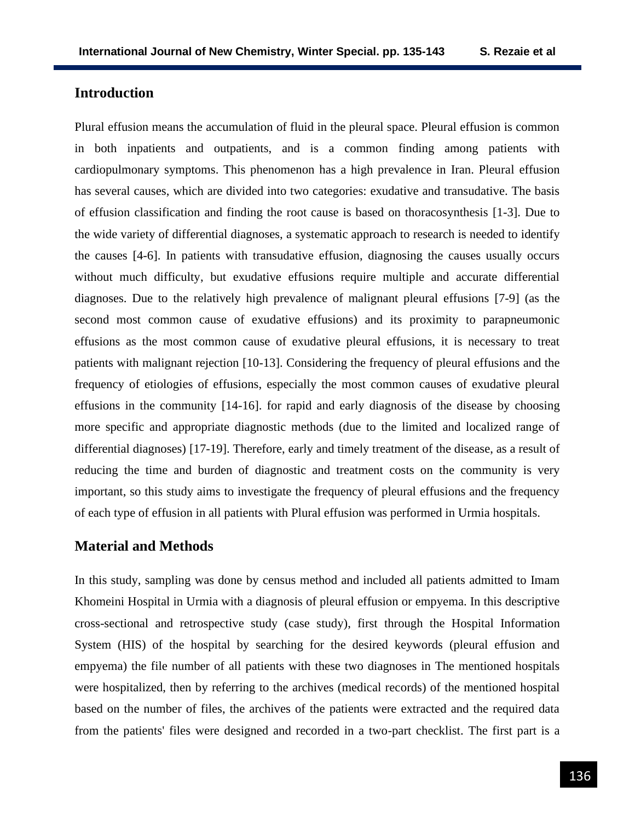# **Introduction**

Plural effusion means the accumulation of fluid in the pleural space. Pleural effusion is common in both inpatients and outpatients, and is a common finding among patients with cardiopulmonary symptoms. This phenomenon has a high prevalence in Iran. Pleural effusion has several causes, which are divided into two categories: exudative and transudative. The basis of effusion classification and finding the root cause is based on thoracosynthesis [1-3]. Due to the wide variety of differential diagnoses, a systematic approach to research is needed to identify the causes [4-6]. In patients with transudative effusion, diagnosing the causes usually occurs without much difficulty, but exudative effusions require multiple and accurate differential diagnoses. Due to the relatively high prevalence of malignant pleural effusions [7-9] (as the second most common cause of exudative effusions) and its proximity to parapneumonic effusions as the most common cause of exudative pleural effusions, it is necessary to treat patients with malignant rejection [10-13]. Considering the frequency of pleural effusions and the frequency of etiologies of effusions, especially the most common causes of exudative pleural effusions in the community [14-16]. for rapid and early diagnosis of the disease by choosing more specific and appropriate diagnostic methods (due to the limited and localized range of differential diagnoses) [17-19]. Therefore, early and timely treatment of the disease, as a result of reducing the time and burden of diagnostic and treatment costs on the community is very important, so this study aims to investigate the frequency of pleural effusions and the frequency of each type of effusion in all patients with Plural effusion was performed in Urmia hospitals.

# **Material and Methods**

In this study, sampling was done by census method and included all patients admitted to Imam Khomeini Hospital in Urmia with a diagnosis of pleural effusion or empyema. In this descriptive cross-sectional and retrospective study (case study), first through the Hospital Information System (HIS) of the hospital by searching for the desired keywords (pleural effusion and empyema) the file number of all patients with these two diagnoses in The mentioned hospitals were hospitalized, then by referring to the archives (medical records) of the mentioned hospital based on the number of files, the archives of the patients were extracted and the required data from the patients' files were designed and recorded in a two-part checklist. The first part is a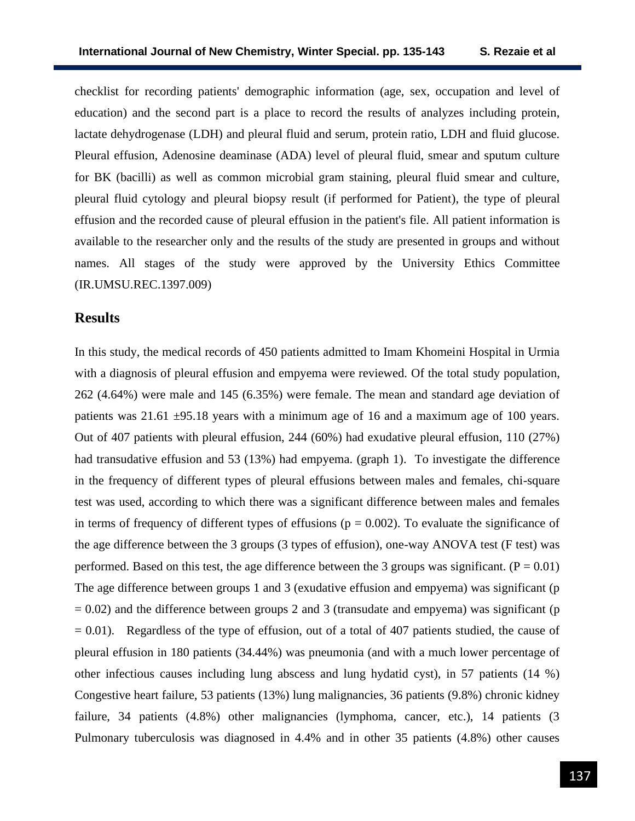checklist for recording patients' demographic information (age, sex, occupation and level of education) and the second part is a place to record the results of analyzes including protein, lactate dehydrogenase (LDH) and pleural fluid and serum, protein ratio, LDH and fluid glucose. Pleural effusion, Adenosine deaminase (ADA) level of pleural fluid, smear and sputum culture for BK (bacilli) as well as common microbial gram staining, pleural fluid smear and culture, pleural fluid cytology and pleural biopsy result (if performed for Patient), the type of pleural effusion and the recorded cause of pleural effusion in the patient's file. All patient information is available to the researcher only and the results of the study are presented in groups and without names. All stages of the study were approved by the University Ethics Committee (IR.UMSU.REC.1397.009)

# **Results**

In this study, the medical records of 450 patients admitted to Imam Khomeini Hospital in Urmia with a diagnosis of pleural effusion and empyema were reviewed. Of the total study population, 262 (4.64%) were male and 145 (6.35%) were female. The mean and standard age deviation of patients was  $21.61 \pm 95.18$  years with a minimum age of 16 and a maximum age of 100 years. Out of 407 patients with pleural effusion, 244 (60%) had exudative pleural effusion, 110 (27%) had transudative effusion and 53 (13%) had empyema. (graph 1). To investigate the difference in the frequency of different types of pleural effusions between males and females, chi-square test was used, according to which there was a significant difference between males and females in terms of frequency of different types of effusions ( $p = 0.002$ ). To evaluate the significance of the age difference between the 3 groups (3 types of effusion), one-way ANOVA test (F test) was performed. Based on this test, the age difference between the 3 groups was significant.  $(P = 0.01)$ The age difference between groups 1 and 3 (exudative effusion and empyema) was significant (p  $= 0.02$ ) and the difference between groups 2 and 3 (transudate and empyema) was significant (p  $= 0.01$ ). Regardless of the type of effusion, out of a total of 407 patients studied, the cause of pleural effusion in 180 patients (34.44%) was pneumonia (and with a much lower percentage of other infectious causes including lung abscess and lung hydatid cyst), in 57 patients (14 %) Congestive heart failure, 53 patients (13%) lung malignancies, 36 patients (9.8%) chronic kidney failure, 34 patients (4.8%) other malignancies (lymphoma, cancer, etc.), 14 patients (3 Pulmonary tuberculosis was diagnosed in 4.4% and in other 35 patients (4.8%) other causes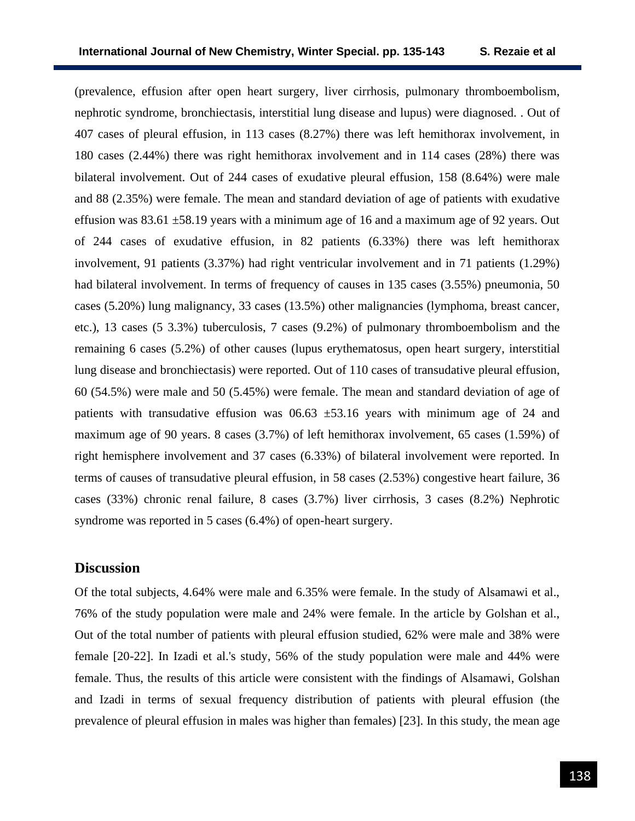(prevalence, effusion after open heart surgery, liver cirrhosis, pulmonary thromboembolism, nephrotic syndrome, bronchiectasis, interstitial lung disease and lupus) were diagnosed. . Out of 407 cases of pleural effusion, in 113 cases (8.27%) there was left hemithorax involvement, in 180 cases (2.44%) there was right hemithorax involvement and in 114 cases (28%) there was bilateral involvement. Out of 244 cases of exudative pleural effusion, 158 (8.64%) were male and 88 (2.35%) were female. The mean and standard deviation of age of patients with exudative effusion was  $83.61 \pm 58.19$  years with a minimum age of 16 and a maximum age of 92 years. Out of 244 cases of exudative effusion, in 82 patients (6.33%) there was left hemithorax involvement, 91 patients (3.37%) had right ventricular involvement and in 71 patients (1.29%) had bilateral involvement. In terms of frequency of causes in 135 cases (3.55%) pneumonia, 50 cases (5.20%) lung malignancy, 33 cases (13.5%) other malignancies (lymphoma, breast cancer, etc.), 13 cases (5 3.3%) tuberculosis, 7 cases (9.2%) of pulmonary thromboembolism and the remaining 6 cases (5.2%) of other causes (lupus erythematosus, open heart surgery, interstitial lung disease and bronchiectasis) were reported. Out of 110 cases of transudative pleural effusion, 60 (54.5%) were male and 50 (5.45%) were female. The mean and standard deviation of age of patients with transudative effusion was  $06.63 \pm 53.16$  years with minimum age of 24 and maximum age of 90 years. 8 cases (3.7%) of left hemithorax involvement, 65 cases (1.59%) of right hemisphere involvement and 37 cases (6.33%) of bilateral involvement were reported. In terms of causes of transudative pleural effusion, in 58 cases (2.53%) congestive heart failure, 36 cases (33%) chronic renal failure, 8 cases (3.7%) liver cirrhosis, 3 cases (8.2%) Nephrotic syndrome was reported in 5 cases (6.4%) of open-heart surgery.

# **Discussion**

Of the total subjects, 4.64% were male and 6.35% were female. In the study of Alsamawi et al., 76% of the study population were male and 24% were female. In the article by Golshan et al., Out of the total number of patients with pleural effusion studied, 62% were male and 38% were female [20-22]. In Izadi et al.'s study, 56% of the study population were male and 44% were female. Thus, the results of this article were consistent with the findings of Alsamawi, Golshan and Izadi in terms of sexual frequency distribution of patients with pleural effusion (the prevalence of pleural effusion in males was higher than females) [23]. In this study, the mean age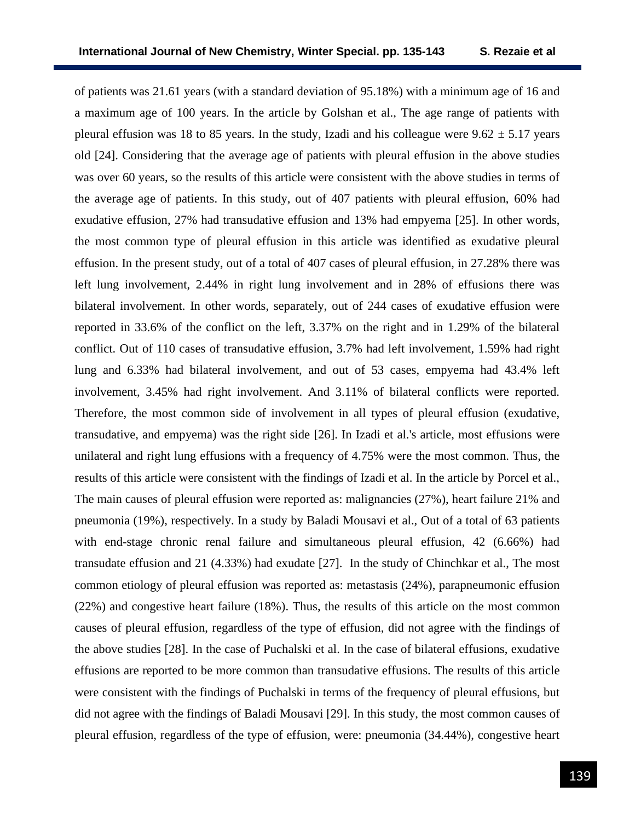of patients was 21.61 years (with a standard deviation of 95.18%) with a minimum age of 16 and a maximum age of 100 years. In the article by Golshan et al., The age range of patients with pleural effusion was 18 to 85 years. In the study, Izadi and his colleague were  $9.62 \pm 5.17$  years old [24]. Considering that the average age of patients with pleural effusion in the above studies was over 60 years, so the results of this article were consistent with the above studies in terms of the average age of patients. In this study, out of 407 patients with pleural effusion, 60% had exudative effusion, 27% had transudative effusion and 13% had empyema [25]. In other words, the most common type of pleural effusion in this article was identified as exudative pleural effusion. In the present study, out of a total of 407 cases of pleural effusion, in 27.28% there was left lung involvement, 2.44% in right lung involvement and in 28% of effusions there was bilateral involvement. In other words, separately, out of 244 cases of exudative effusion were reported in 33.6% of the conflict on the left, 3.37% on the right and in 1.29% of the bilateral conflict. Out of 110 cases of transudative effusion, 3.7% had left involvement, 1.59% had right lung and 6.33% had bilateral involvement, and out of 53 cases, empyema had 43.4% left involvement, 3.45% had right involvement. And 3.11% of bilateral conflicts were reported. Therefore, the most common side of involvement in all types of pleural effusion (exudative, transudative, and empyema) was the right side [26]. In Izadi et al.'s article, most effusions were unilateral and right lung effusions with a frequency of 4.75% were the most common. Thus, the results of this article were consistent with the findings of Izadi et al. In the article by Porcel et al., The main causes of pleural effusion were reported as: malignancies (27%), heart failure 21% and pneumonia (19%), respectively. In a study by Baladi Mousavi et al., Out of a total of 63 patients with end-stage chronic renal failure and simultaneous pleural effusion, 42 (6.66%) had transudate effusion and 21 (4.33%) had exudate [27]. In the study of Chinchkar et al., The most common etiology of pleural effusion was reported as: metastasis (24%), parapneumonic effusion (22%) and congestive heart failure (18%). Thus, the results of this article on the most common causes of pleural effusion, regardless of the type of effusion, did not agree with the findings of the above studies [28]. In the case of Puchalski et al. In the case of bilateral effusions, exudative effusions are reported to be more common than transudative effusions. The results of this article were consistent with the findings of Puchalski in terms of the frequency of pleural effusions, but did not agree with the findings of Baladi Mousavi [29]. In this study, the most common causes of pleural effusion, regardless of the type of effusion, were: pneumonia (34.44%), congestive heart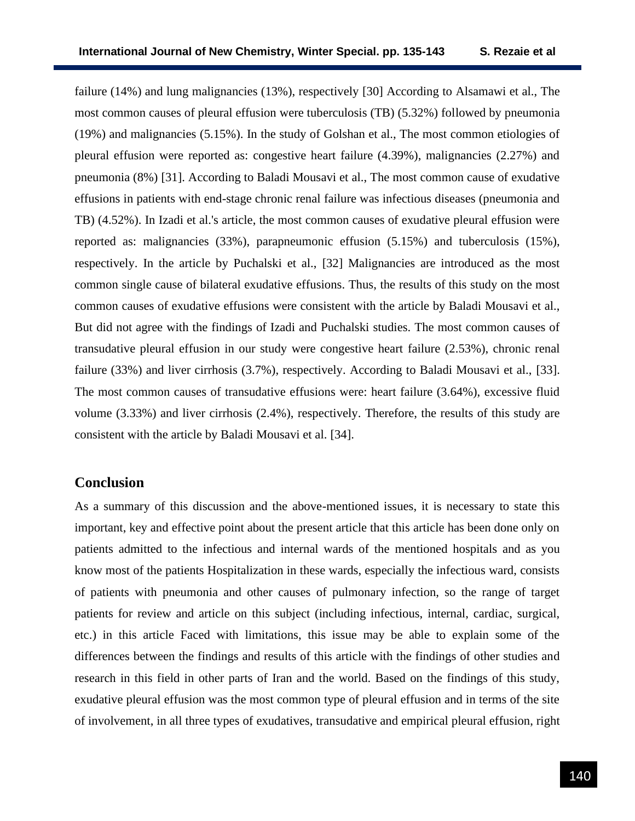failure (14%) and lung malignancies (13%), respectively [30] According to Alsamawi et al., The most common causes of pleural effusion were tuberculosis (TB) (5.32%) followed by pneumonia (19%) and malignancies (5.15%). In the study of Golshan et al., The most common etiologies of pleural effusion were reported as: congestive heart failure (4.39%), malignancies (2.27%) and pneumonia (8%) [31]. According to Baladi Mousavi et al., The most common cause of exudative effusions in patients with end-stage chronic renal failure was infectious diseases (pneumonia and TB) (4.52%). In Izadi et al.'s article, the most common causes of exudative pleural effusion were reported as: malignancies (33%), parapneumonic effusion (5.15%) and tuberculosis (15%), respectively. In the article by Puchalski et al., [32] Malignancies are introduced as the most common single cause of bilateral exudative effusions. Thus, the results of this study on the most common causes of exudative effusions were consistent with the article by Baladi Mousavi et al., But did not agree with the findings of Izadi and Puchalski studies. The most common causes of transudative pleural effusion in our study were congestive heart failure (2.53%), chronic renal failure (33%) and liver cirrhosis (3.7%), respectively. According to Baladi Mousavi et al., [33]. The most common causes of transudative effusions were: heart failure (3.64%), excessive fluid volume (3.33%) and liver cirrhosis (2.4%), respectively. Therefore, the results of this study are consistent with the article by Baladi Mousavi et al. [34].

#### **Conclusion**

As a summary of this discussion and the above-mentioned issues, it is necessary to state this important, key and effective point about the present article that this article has been done only on patients admitted to the infectious and internal wards of the mentioned hospitals and as you know most of the patients Hospitalization in these wards, especially the infectious ward, consists of patients with pneumonia and other causes of pulmonary infection, so the range of target patients for review and article on this subject (including infectious, internal, cardiac, surgical, etc.) in this article Faced with limitations, this issue may be able to explain some of the differences between the findings and results of this article with the findings of other studies and research in this field in other parts of Iran and the world. Based on the findings of this study, exudative pleural effusion was the most common type of pleural effusion and in terms of the site of involvement, in all three types of exudatives, transudative and empirical pleural effusion, right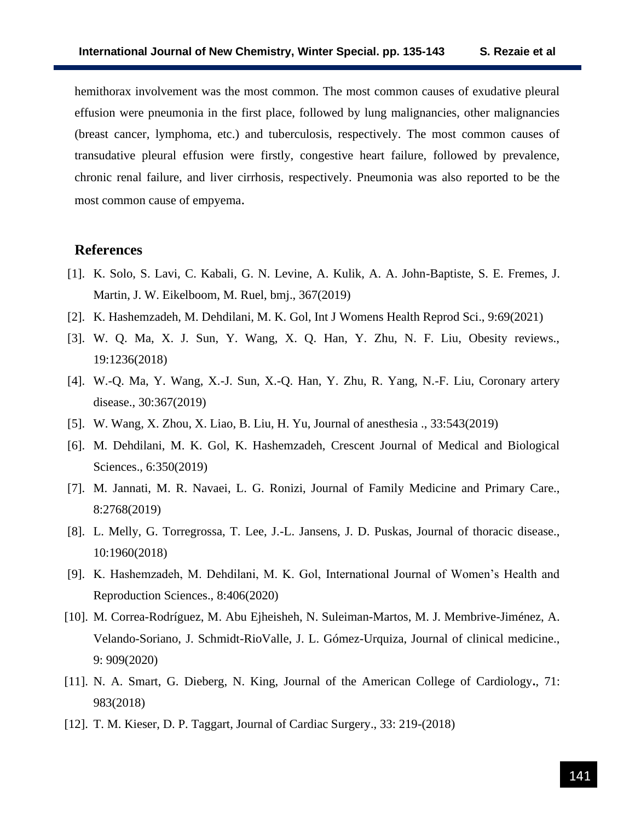hemithorax involvement was the most common. The most common causes of exudative pleural effusion were pneumonia in the first place, followed by lung malignancies, other malignancies (breast cancer, lymphoma, etc.) and tuberculosis, respectively. The most common causes of transudative pleural effusion were firstly, congestive heart failure, followed by prevalence, chronic renal failure, and liver cirrhosis, respectively. Pneumonia was also reported to be the most common cause of empyema.

#### **References**

- [1]. K. Solo, S. Lavi, C. Kabali, G. N. Levine, A. Kulik, A. A. John-Baptiste, S. E. Fremes, J. Martin, J. W. Eikelboom, M. Ruel, bmj., 367(2019)
- [2]. K. Hashemzadeh, M. Dehdilani, M. K. Gol, Int J Womens Health Reprod Sci., 9:69(2021)
- [3]. W. Q. Ma, X. J. Sun, Y. Wang, X. Q. Han, Y. Zhu, N. F. Liu, Obesity reviews., 19:1236(2018)
- [4]. W.-Q. Ma, Y. Wang, X.-J. Sun, X.-Q. Han, Y. Zhu, R. Yang, N.-F. Liu, Coronary artery disease., 30:367(2019)
- [5]. W. Wang, X. Zhou, X. Liao, B. Liu, H. Yu, Journal of anesthesia ., 33:543(2019)
- [6]. M. Dehdilani, M. K. Gol, K. Hashemzadeh, Crescent Journal of Medical and Biological Sciences., 6:350(2019)
- [7]. M. Jannati, M. R. Navaei, L. G. Ronizi, Journal of Family Medicine and Primary Care., 8:2768(2019)
- [8]. L. Melly, G. Torregrossa, T. Lee, J.-L. Jansens, J. D. Puskas, Journal of thoracic disease., 10:1960(2018)
- [9]. K. Hashemzadeh, M. Dehdilani, M. K. Gol, International Journal of Women's Health and Reproduction Sciences., 8:406(2020)
- [10]. M. Correa-Rodríguez, M. Abu Ejheisheh, N. Suleiman-Martos, M. J. Membrive-Jiménez, A. Velando-Soriano, J. Schmidt-RioValle, J. L. Gómez-Urquiza, Journal of clinical medicine., 9: 909(2020)
- [11]. N. A. Smart, G. Dieberg, N. King, Journal of the American College of Cardiology**.**, 71: 983(2018)
- [12]. T. M. Kieser, D. P. Taggart, Journal of Cardiac Surgery., 33: 219-(2018)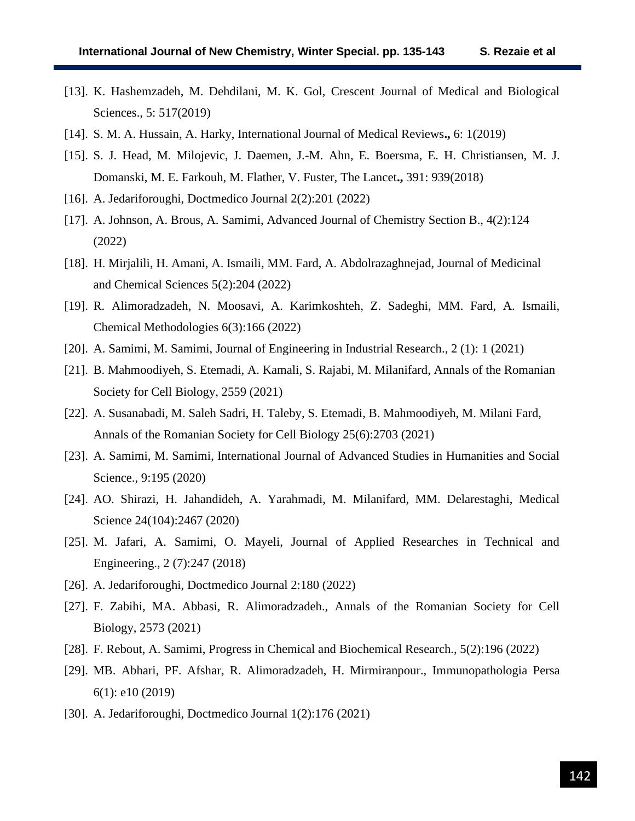- [13]. K. Hashemzadeh, M. Dehdilani, M. K. Gol, Crescent Journal of Medical and Biological Sciences., 5: 517(2019)
- [14]. S. M. A. Hussain, A. Harky, International Journal of Medical Reviews**.,** 6: 1(2019)
- [15]. S. J. Head, M. Milojevic, J. Daemen, J.-M. Ahn, E. Boersma, E. H. Christiansen, M. J. Domanski, M. E. Farkouh, M. Flather, V. Fuster, The Lancet**.,** 391: 939(2018)
- [16]. A. Jedariforoughi, Doctmedico Journal 2(2):201 (2022)
- [17]. A. Johnson, A. Brous, A. Samimi, Advanced Journal of Chemistry Section B., 4(2):124 (2022)
- [18]. H. Mirjalili, H. Amani, A. Ismaili, MM. Fard, A. Abdolrazaghnejad, Journal of Medicinal and Chemical Sciences 5(2):204 (2022)
- [19]. R. Alimoradzadeh, N. Moosavi, A. Karimkoshteh, Z. Sadeghi, MM. Fard, A. Ismaili, Chemical Methodologies 6(3):166 (2022)
- [20]. A. Samimi, M. Samimi, Journal of Engineering in Industrial Research., 2 (1): 1 (2021)
- [21]. B. Mahmoodiyeh, S. Etemadi, A. Kamali, S. Rajabi, M. Milanifard, Annals of the Romanian Society for Cell Biology, 2559 (2021)
- [22]. A. Susanabadi, M. Saleh Sadri, H. Taleby, S. Etemadi, B. Mahmoodiyeh, M. Milani Fard, Annals of the Romanian Society for Cell Biology 25(6):2703 (2021)
- [23]. A. Samimi, M. Samimi, International Journal of Advanced Studies in Humanities and Social Science., 9:195 (2020)
- [24]. AO. Shirazi, H. Jahandideh, A. Yarahmadi, M. Milanifard, MM. Delarestaghi, Medical Science 24(104):2467 (2020)
- [25]. M. Jafari, A. Samimi, O. Mayeli, Journal of Applied Researches in Technical and Engineering., 2 (7):247 (2018)
- [26]. A. Jedariforoughi, Doctmedico Journal 2:180 (2022)
- [27]. F. Zabihi, MA. Abbasi, R. Alimoradzadeh., Annals of the Romanian Society for Cell Biology, 2573 (2021)
- [28]. F. Rebout, A. Samimi, Progress in Chemical and Biochemical Research., 5(2):196 (2022)
- [29]. MB. Abhari, PF. Afshar, R. Alimoradzadeh, H. Mirmiranpour., Immunopathologia Persa 6(1): e10 (2019)
- [30]. A. Jedariforoughi, Doctmedico Journal 1(2):176 (2021)